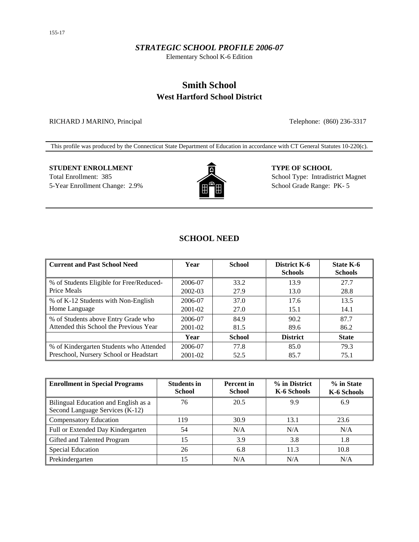#### *STRATEGIC SCHOOL PROFILE 2006-07*

Elementary School K-6 Edition

# **Smith School West Hartford School District**

RICHARD J MARINO, Principal Telephone: (860) 236-3317

This profile was produced by the Connecticut State Department of Education in accordance with CT General Statutes 10-220(c).

# **STUDENT ENROLLMENT TYPE OF SCHOOL** Total Enrollment: 385 School Type: Intradistrict Magnet



5-Year Enrollment Change: 2.9%  $\left[\begin{array}{ccc} \bullet & \bullet \\ \bullet & \bullet \end{array}\right]$  School Grade Range: PK- 5

## **SCHOOL NEED**

| <b>Current and Past School Need</b>      | Year    | <b>School</b> | <b>District K-6</b><br><b>Schools</b> | State K-6<br><b>Schools</b> |
|------------------------------------------|---------|---------------|---------------------------------------|-----------------------------|
| % of Students Eligible for Free/Reduced- | 2006-07 | 33.2          | 13.9                                  | 27.7                        |
| Price Meals                              | 2002-03 | 27.9          | 13.0                                  | 28.8                        |
| % of K-12 Students with Non-English      | 2006-07 | 37.0          | 17.6                                  | 13.5                        |
| Home Language                            | 2001-02 | 27.0          | 15.1                                  | 14.1                        |
| % of Students above Entry Grade who      | 2006-07 | 84.9          | 90.2                                  | 87.7                        |
| Attended this School the Previous Year   | 2001-02 | 81.5          | 89.6                                  | 86.2                        |
|                                          | Year    | <b>School</b> | <b>District</b>                       | <b>State</b>                |
| % of Kindergarten Students who Attended  | 2006-07 | 77.8          | 85.0                                  | 79.3                        |
| Preschool, Nursery School or Headstart   | 2001-02 | 52.5          | 85.7                                  | 75.1                        |

| <b>Enrollment in Special Programs</b>                                   | <b>Students in</b><br><b>School</b> | <b>Percent</b> in<br><b>School</b> | % in District<br>K-6 Schools | % in State<br>K-6 Schools |
|-------------------------------------------------------------------------|-------------------------------------|------------------------------------|------------------------------|---------------------------|
| Bilingual Education and English as a<br>Second Language Services (K-12) | 76                                  | 20.5                               | 9.9                          | 6.9                       |
| <b>Compensatory Education</b>                                           | 19                                  | 30.9                               | 13.1                         | 23.6                      |
| Full or Extended Day Kindergarten                                       | 54                                  | N/A                                | N/A                          | N/A                       |
| Gifted and Talented Program                                             | 15                                  | 3.9                                | 3.8                          | 1.8                       |
| <b>Special Education</b>                                                | 26                                  | 6.8                                | 11.3                         | 10.8                      |
| Prekindergarten                                                         | 15                                  | N/A                                | N/A                          | N/A                       |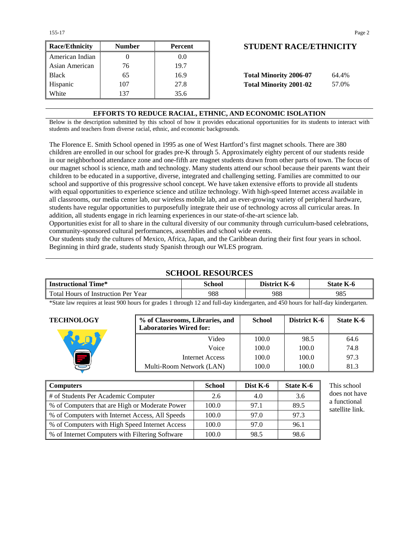155-17 Page 2

| <b>Race/Ethnicity</b> | <b>Number</b> | Percent | <b>STUDENT RACE/ETHNICIT</b>           |
|-----------------------|---------------|---------|----------------------------------------|
| American Indian       |               | 0.0     |                                        |
| Asian American        | 76            | 19.7    |                                        |
| <b>Black</b>          | 65            | 16.9    | <b>Total Minority 2006-07</b><br>64.4% |
| Hispanic              | 107           | 27.8    | <b>Total Minority 2001-02</b><br>57.0% |
| White                 | 137           | 35.6    |                                        |

## **Race/Ethnicity Number Percent STUDENT RACE/ETHNICITY**

| <b>Total Minority 2006-07</b> | 64.4% |
|-------------------------------|-------|
| <b>Total Minority 2001-02</b> | 57.0% |

#### **EFFORTS TO REDUCE RACIAL, ETHNIC, AND ECONOMIC ISOLATION**

Below is the description submitted by this school of how it provides educational opportunities for its students to interact with students and teachers from diverse racial, ethnic, and economic backgrounds.

The Florence E. Smith School opened in 1995 as one of West Hartford's first magnet schools. There are 380 children are enrolled in our school for grades pre-K through 5. Approximately eighty percent of our students reside in our neighborhood attendance zone and one-fifth are magnet students drawn from other parts of town. The focus of our magnet school is science, math and technology. Many students attend our school because their parents want their children to be educated in a supportive, diverse, integrated and challenging setting. Families are committed to our school and supportive of this progressive school concept. We have taken extensive efforts to provide all students with equal opportunities to experience science and utilize technology. With high-speed Internet access available in all classrooms, our media center lab, our wireless mobile lab, and an ever-growing variety of peripheral hardware, students have regular opportunities to purposefully integrate their use of technology across all curricular areas. In addition, all students engage in rich learning experiences in our state-of-the-art science lab.

Opportunities exist for all to share in the cultural diversity of our community through curriculum-based celebrations, community-sponsored cultural performances, assemblies and school wide events.

Our students study the cultures of Mexico, Africa, Japan, and the Caribbean during their first four years in school. Beginning in third grade, students study Spanish through our WLES program.

## **SCHOOL RESOURCES**

| <b>Instructional Time*</b>             | School | <b>District K-6</b> | State K-6 |  |
|----------------------------------------|--------|---------------------|-----------|--|
| Total Hours of<br>Instruction Per Year | 988    | 988                 | 985       |  |

\*State law requires at least 900 hours for grades 1 through 12 and full-day kindergarten, and 450 hours for half-day kindergarten.

| <b>TECHNOLOGY</b> | % of Classrooms, Libraries, and<br><b>Laboratories Wired for:</b> | <b>School</b> | District K-6 | State K-6 |
|-------------------|-------------------------------------------------------------------|---------------|--------------|-----------|
|                   | Video                                                             | 100.0         | 98.5         | 64.6      |
|                   | Voice                                                             | 100.0         | 100.0        | 74.8      |
|                   | Internet Access                                                   | 100.0         | 100.0        | 97.3      |
|                   | Multi-Room Network (LAN)                                          | 100.0         | 100.0        | 81.3      |

| Computers                                         | <b>School</b> | Dist K-6 | <b>State K-6</b> |
|---------------------------------------------------|---------------|----------|------------------|
| # of Students Per Academic Computer               | 2.6           | 4.0      | 3.6              |
| ■ % of Computers that are High or Moderate Power  | 100.0         | 97.1     | 89.5             |
| ■ % of Computers with Internet Access, All Speeds | 100.0         | 97.0     | 97.3             |
| ■ % of Computers with High Speed Internet Access  | 100.0         | 97.0     | 96.1             |
| ■ % of Internet Computers with Filtering Software | 100.0         | 98.5     | 98.6             |

This school loes not have functional atellite link.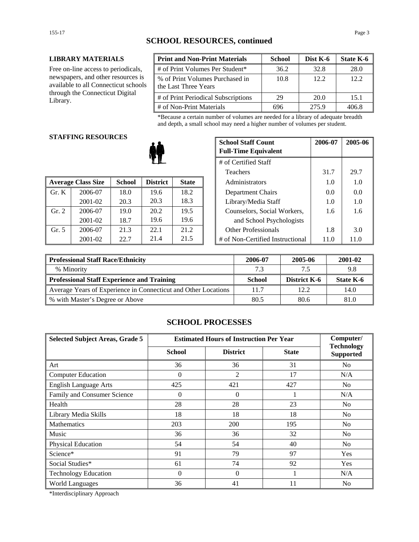#### **LIBRARY MATERIALS**

Free on-line access to periodicals, newspapers, and other resources is available to all Connecticut schools through the Connecticut Digital Library.

| <b>Print and Non-Print Materials</b>                    | <b>School</b> | Dist K-6    | State K-6 |
|---------------------------------------------------------|---------------|-------------|-----------|
| # of Print Volumes Per Student*                         | 36.2          | 32.8        | 28.0      |
| % of Print Volumes Purchased in<br>the Last Three Years | 10.8          | 12.2.       | 12.2      |
| # of Print Periodical Subscriptions                     | 29            | <b>20.0</b> | 15.1      |
| # of Non-Print Materials                                | 696           | 275.9       | 406 X     |

\*Because a certain number of volumes are needed for a library of adequate breadth and depth, a small school may need a higher number of volumes per student.

#### **STAFFING RESOURCES**

|       |                           |               |                 |              | 1 vavno                          | ---  | ---- |
|-------|---------------------------|---------------|-----------------|--------------|----------------------------------|------|------|
|       | <b>Average Class Size</b> | <b>School</b> | <b>District</b> | <b>State</b> | Administrators                   | 1.0  | 1.0  |
| Gr. K | 2006-07                   | 18.0          | 19.6            | 18.2         | Department Chairs                | 0.0  | 0.0  |
|       | 2001-02                   | 20.3          | 20.3            | 18.3         | Library/Media Staff              | 1.0  | 1.0  |
| Gr. 2 | 2006-07                   | 19.0          | 20.2            | 19.5         | Counselors, Social Workers,      | 1.6  | 1.6  |
|       | 2001-02                   | 18.7          | 19.6            | 19.6         | and School Psychologists         |      |      |
| Gr. 5 | 2006-07                   | 21.3          | 22.1            | 21.2         | <b>Other Professionals</b>       | 1.8  | 3.0  |
|       | 2001-02                   | 22.7          | 21.4            | 21.5         | # of Non-Certified Instructional | 11.0 | 11.0 |

| u neguvnjeg |               |                 | <b>School Staff Count</b><br><b>Full-Time Equivalent</b> | 2006-07 | 2005-06                          |      |      |
|-------------|---------------|-----------------|----------------------------------------------------------|---------|----------------------------------|------|------|
|             |               |                 |                                                          |         | # of Certified Staff             |      |      |
|             |               |                 |                                                          |         | Teachers                         | 31.7 | 29.7 |
| 'lass Size  | <b>School</b> | <b>District</b> | <b>State</b>                                             |         | Administrators                   | 1.0  | 1.0  |
| 2006-07     | 18.0          | 19.6            | 18.2                                                     |         | Department Chairs                | 0.0  | 0.0  |
| 2001-02     | 20.3          | 20.3            | 18.3                                                     |         | Library/Media Staff              | 1.0  | 1.0  |
| 2006-07     | 19.0          | 20.2            | 19.5                                                     |         | Counselors, Social Workers,      | 1.6  | 1.6  |
| 2001-02     | 18.7          | 19.6            | 19.6                                                     |         | and School Psychologists         |      |      |
| 2006-07     | 21.3          | 22.1            | 21.2                                                     |         | <b>Other Professionals</b>       | 1.8  | 3.0  |
| 2001-02     | 22.7          | 21.4            | 21.5                                                     |         | # of Non-Certified Instructional | 11.0 | 11.0 |

| <b>Professional Staff Race/Ethnicity</b>                       | 2006-07       | 2005-06             | 2001-02   |
|----------------------------------------------------------------|---------------|---------------------|-----------|
| % Minority                                                     | 7.3           |                     | 9.8       |
| Professional Staff Experience and Training                     | <b>School</b> | <b>District K-6</b> | State K-6 |
| Average Years of Experience in Connecticut and Other Locations | 11.7          | 12.2.               | 14.0      |
| ∥ % with Master's Degree or Above                              | 80.5          | 80.6                | 81.0      |

### **SCHOOL PROCESSES**

| <b>Selected Subject Areas, Grade 5</b> | <b>Estimated Hours of Instruction Per Year</b> |                 |              | Computer/                             |
|----------------------------------------|------------------------------------------------|-----------------|--------------|---------------------------------------|
|                                        | <b>School</b>                                  | <b>District</b> | <b>State</b> | <b>Technology</b><br><b>Supported</b> |
| Art                                    | 36                                             | 36              | 31           | No                                    |
| <b>Computer Education</b>              | $\Omega$                                       | 2               | 17           | N/A                                   |
| <b>English Language Arts</b>           | 425                                            | 421             | 427          | N <sub>0</sub>                        |
| Family and Consumer Science            | $\theta$                                       | $\Omega$        |              | N/A                                   |
| Health                                 | 28                                             | 28              | 23           | No                                    |
| Library Media Skills                   | 18                                             | 18              | 18           | N <sub>0</sub>                        |
| <b>Mathematics</b>                     | 203                                            | 200             | 195          | N <sub>0</sub>                        |
| Music                                  | 36                                             | 36              | 32           | No                                    |
| Physical Education                     | 54                                             | 54              | 40           | No                                    |
| Science*                               | 91                                             | 79              | 97           | Yes                                   |
| Social Studies*                        | 61                                             | 74              | 92           | Yes                                   |
| <b>Technology Education</b>            | $\theta$                                       | $\Omega$        |              | N/A                                   |
| <b>World Languages</b>                 | 36                                             | 41              | 11           | N <sub>0</sub>                        |

\*Interdisciplinary Approach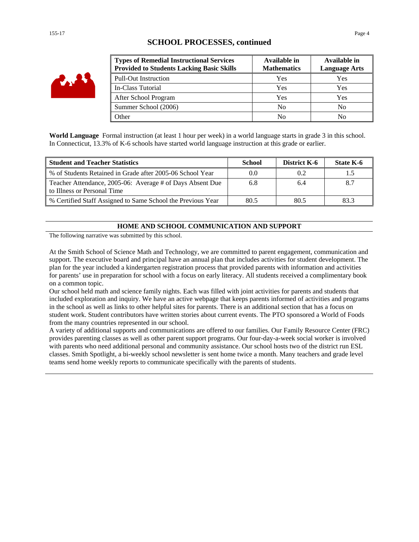## **SCHOOL PROCESSES, continued**



| <b>Types of Remedial Instructional Services</b><br><b>Provided to Students Lacking Basic Skills</b> | Available in<br><b>Mathematics</b> | Available in<br><b>Language Arts</b> |
|-----------------------------------------------------------------------------------------------------|------------------------------------|--------------------------------------|
| <b>Pull-Out Instruction</b>                                                                         | Yes                                | Yes                                  |
| In-Class Tutorial                                                                                   | Yes                                | Yes                                  |
| After School Program                                                                                | Yes                                | Yes                                  |
| Summer School (2006)                                                                                | No                                 | No                                   |
| Other                                                                                               | N <sub>0</sub>                     | No                                   |

**World Language** Formal instruction (at least 1 hour per week) in a world language starts in grade 3 in this school. In Connecticut, 13.3% of K-6 schools have started world language instruction at this grade or earlier.

| <b>Student and Teacher Statistics</b>                                                    | School | District K-6 | State K-6 |
|------------------------------------------------------------------------------------------|--------|--------------|-----------|
| % of Students Retained in Grade after 2005-06 School Year                                | 0.0    | 0.2          |           |
| Teacher Attendance, 2005-06: Average # of Days Absent Due<br>to Illness or Personal Time | 6.8    | 6.4          |           |
| % Certified Staff Assigned to Same School the Previous Year                              | 80.5   | 80.5         | 83.3      |

#### **HOME AND SCHOOL COMMUNICATION AND SUPPORT**

The following narrative was submitted by this school.

At the Smith School of Science Math and Technology, we are committed to parent engagement, communication and support. The executive board and principal have an annual plan that includes activities for student development. The plan for the year included a kindergarten registration process that provided parents with information and activities for parents' use in preparation for school with a focus on early literacy. All students received a complimentary book on a common topic.

Our school held math and science family nights. Each was filled with joint activities for parents and students that included exploration and inquiry. We have an active webpage that keeps parents informed of activities and programs in the school as well as links to other helpful sites for parents. There is an additional section that has a focus on student work. Student contributors have written stories about current events. The PTO sponsored a World of Foods from the many countries represented in our school.

A variety of additional supports and communications are offered to our families. Our Family Resource Center (FRC) provides parenting classes as well as other parent support programs. Our four-day-a-week social worker is involved with parents who need additional personal and community assistance. Our school hosts two of the district run ESL classes. Smith Spotlight, a bi-weekly school newsletter is sent home twice a month. Many teachers and grade level teams send home weekly reports to communicate specifically with the parents of students.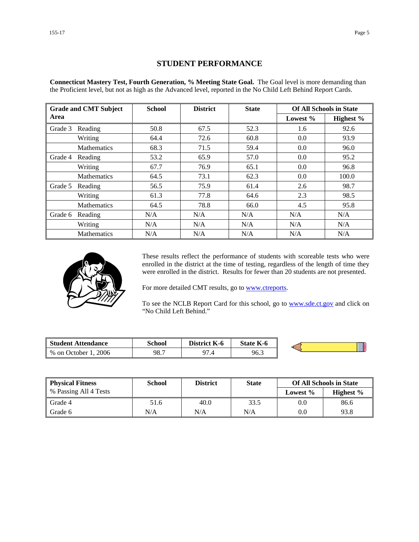## **STUDENT PERFORMANCE**

**Connecticut Mastery Test, Fourth Generation, % Meeting State Goal.** The Goal level is more demanding than the Proficient level, but not as high as the Advanced level, reported in the No Child Left Behind Report Cards.

|         | <b>Grade and CMT Subject</b> | <b>School</b> | <b>District</b> | <b>State</b> |          | <b>Of All Schools in State</b> |
|---------|------------------------------|---------------|-----------------|--------------|----------|--------------------------------|
| Area    |                              |               |                 |              | Lowest % | Highest %                      |
| Grade 3 | Reading                      | 50.8          | 67.5            | 52.3         | 1.6      | 92.6                           |
|         | Writing                      | 64.4          | 72.6            | 60.8         | 0.0      | 93.9                           |
|         | <b>Mathematics</b>           | 68.3          | 71.5            | 59.4         | 0.0      | 96.0                           |
| Grade 4 | Reading                      | 53.2          | 65.9            | 57.0         | 0.0      | 95.2                           |
|         | Writing                      | 67.7          | 76.9            | 65.1         | 0.0      | 96.8                           |
|         | <b>Mathematics</b>           | 64.5          | 73.1            | 62.3         | 0.0      | 100.0                          |
| Grade 5 | Reading                      | 56.5          | 75.9            | 61.4         | 2.6      | 98.7                           |
|         | Writing                      | 61.3          | 77.8            | 64.6         | 2.3      | 98.5                           |
|         | <b>Mathematics</b>           | 64.5          | 78.8            | 66.0         | 4.5      | 95.8                           |
| Grade 6 | Reading                      | N/A           | N/A             | N/A          | N/A      | N/A                            |
|         | Writing                      | N/A           | N/A             | N/A          | N/A      | N/A                            |
|         | <b>Mathematics</b>           | N/A           | N/A             | N/A          | N/A      | N/A                            |



These results reflect the performance of students with scoreable tests who were enrolled in the district at the time of testing, regardless of the length of time they were enrolled in the district. Results for fewer than 20 students are not presented.

For more detailed CMT results, go to **www.ctreports**.

To see the NCLB Report Card for this school, go to **[www.sde.ct.gov](http://www.sde.ct.gov/)** and click on "No Child Left Behind."

| <b>Student Attendance</b>            | School | <b>District</b><br>K-6 | <b>State K-6</b> |  |
|--------------------------------------|--------|------------------------|------------------|--|
| 2006<br>$%$ on $\sqrt{ }$<br>October | 98.7   | $\Omega$<br>۰.,        | 96.3             |  |

| <b>Physical Fitness</b> | School | <b>District</b> | <b>State</b> |             | <b>Of All Schools in State</b> |
|-------------------------|--------|-----------------|--------------|-------------|--------------------------------|
| % Passing All 4 Tests   |        |                 |              | Lowest $\%$ | Highest $\%$                   |
| Grade 4                 | 51.6   | 40.0            | 33.5         | 0.0         | 86.6                           |
| Grade 6                 | N/A    | N/A             | N/A          | 0.0         | 93.8                           |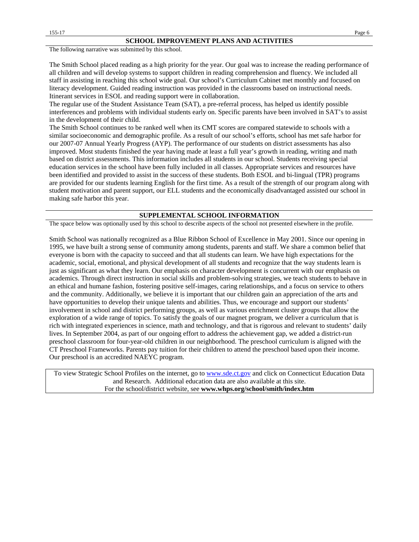The following narrative was submitted by this school.

The Smith School placed reading as a high priority for the year. Our goal was to increase the reading performance of all children and will develop systems to support children in reading comprehension and fluency. We included all staff in assisting in reaching this school wide goal. Our school's Curriculum Cabinet met monthly and focused on literacy development. Guided reading instruction was provided in the classrooms based on instructional needs. Itinerant services in ESOL and reading support were in collaboration.

The regular use of the Student Assistance Team (SAT), a pre-referral process, has helped us identify possible interferences and problems with individual students early on. Specific parents have been involved in SAT's to assist in the development of their child.

The Smith School continues to be ranked well when its CMT scores are compared statewide to schools with a similar socioeconomic and demographic profile. As a result of our school's efforts, school has met safe harbor for our 2007-07 Annual Yearly Progress (AYP). The performance of our students on district assessments has also improved. Most students finished the year having made at least a full year's growth in reading, writing and math based on district assessments. This information includes all students in our school. Students receiving special education services in the school have been fully included in all classes. Appropriate services and resources have been identified and provided to assist in the success of these students. Both ESOL and bi-lingual (TPR) programs are provided for our students learning English for the first time. As a result of the strength of our program along with student motivation and parent support, our ELL students and the economically disadvantaged assisted our school in making safe harbor this year.

#### **SUPPLEMENTAL SCHOOL INFORMATION**

The space below was optionally used by this school to describe aspects of the school not presented elsewhere in the profile.

Smith School was nationally recognized as a Blue Ribbon School of Excellence in May 2001. Since our opening in 1995, we have built a strong sense of community among students, parents and staff. We share a common belief that everyone is born with the capacity to succeed and that all students can learn. We have high expectations for the academic, social, emotional, and physical development of all students and recognize that the way students learn is just as significant as what they learn. Our emphasis on character development is concurrent with our emphasis on academics. Through direct instruction in social skills and problem-solving strategies, we teach students to behave in an ethical and humane fashion, fostering positive self-images, caring relationships, and a focus on service to others and the community. Additionally, we believe it is important that our children gain an appreciation of the arts and have opportunities to develop their unique talents and abilities. Thus, we encourage and support our students' involvement in school and district performing groups, as well as various enrichment cluster groups that allow the exploration of a wide range of topics. To satisfy the goals of our magnet program, we deliver a curriculum that is rich with integrated experiences in science, math and technology, and that is rigorous and relevant to students' daily lives. In September 2004, as part of our ongoing effort to address the achievement gap, we added a district-run preschool classroom for four-year-old children in our neighborhood. The preschool curriculum is aligned with the CT Preschool Frameworks. Parents pay tuition for their children to attend the preschool based upon their income. Our preschool is an accredited NAEYC program.

To view Strategic School Profiles on the internet, go to [www.sde.ct.gov](http://www.sde.ct.gov/) and click on Connecticut Education Data and Research. Additional education data are also available at this site. For the school/district website, see **www.whps.org/school/smith/index.htm**